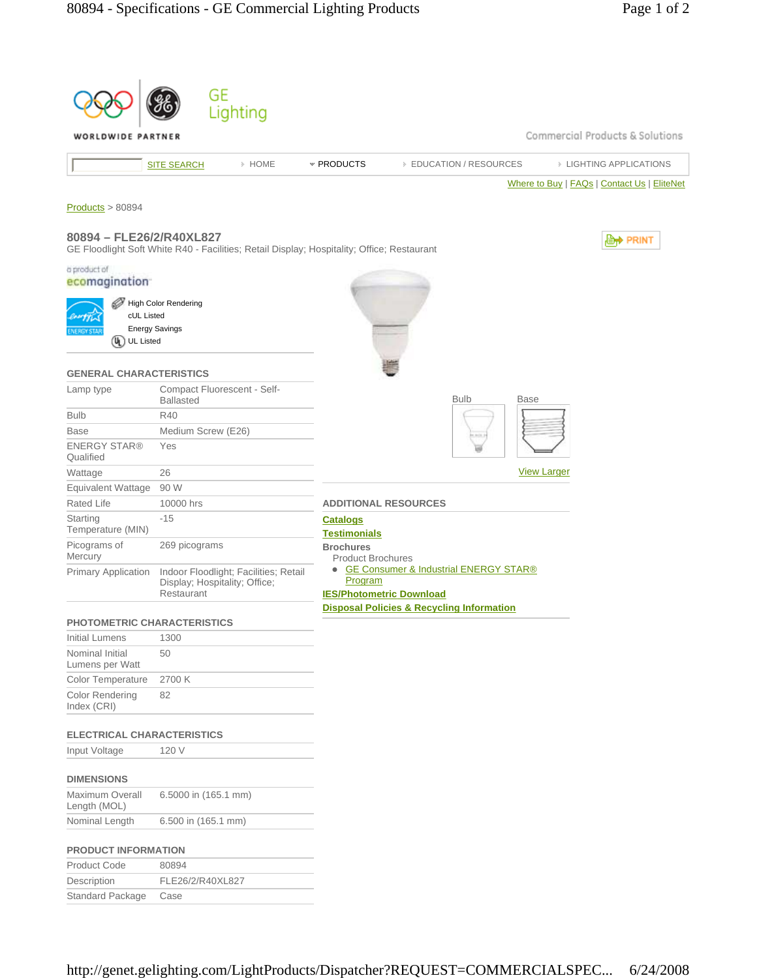| Lighting<br>Commercial Products & Solutions<br>WORLDWIDE PARTNER<br>» HOME<br>* PRODUCTS<br><b>EDUCATION / RESOURCES</b><br><b>EIGHTING APPLICATIONS</b><br><b>SITE SEARCH</b><br>Where to Buy   FAQs   Contact Us   EliteNet<br>Products > 80894<br>80894 - FLE26/2/R40XL827<br><b>E++</b> PRINT<br>GE Floodlight Soft White R40 - Facilities; Retail Display; Hospitality; Office; Restaurant<br>High Color Rendering<br>cUL Listed<br><b>Energy Savings</b><br>$\left( 0_{\mathrm{L}}\right)$<br><b>UL Listed</b><br><b>GENERAL CHARACTERISTICS</b><br>Compact Fluorescent - Self-<br><b>Bulb</b><br><b>Base</b><br><b>Ballasted</b><br>R40<br>Medium Screw (E26)<br>Yes<br><b>View Larger</b><br>26<br>90 W<br>10000 hrs<br><b>ADDITIONAL RESOURCES</b><br>$-15$<br><b>Catalogs</b><br><b>Testimonials</b><br>269 picograms<br><b>Brochures</b><br><b>Product Brochures</b><br>• GE Consumer & Industrial ENERGY STAR®<br>Indoor Floodlight; Facilities; Retail<br>Program<br>Display; Hospitality; Office;<br>Restaurant<br><b>IES/Photometric Download</b><br><b>Disposal Policies &amp; Recycling Information</b><br><b>PHOTOMETRIC CHARACTERISTICS</b><br><b>Initial Lumens</b><br>1300<br>50<br>2700 K<br>82<br><b>ELECTRICAL CHARACTERISTICS</b><br>120 V<br>6.5000 in (165.1 mm)<br>Length (MOL)<br>6.500 in (165.1 mm)<br><b>PRODUCT INFORMATION</b><br><b>Product Code</b><br>80894 |                                       |                  |  |  |  |
|--------------------------------------------------------------------------------------------------------------------------------------------------------------------------------------------------------------------------------------------------------------------------------------------------------------------------------------------------------------------------------------------------------------------------------------------------------------------------------------------------------------------------------------------------------------------------------------------------------------------------------------------------------------------------------------------------------------------------------------------------------------------------------------------------------------------------------------------------------------------------------------------------------------------------------------------------------------------------------------------------------------------------------------------------------------------------------------------------------------------------------------------------------------------------------------------------------------------------------------------------------------------------------------------------------------------------------------------------------------------------------------------------|---------------------------------------|------------------|--|--|--|
|                                                                                                                                                                                                                                                                                                                                                                                                                                                                                                                                                                                                                                                                                                                                                                                                                                                                                                                                                                                                                                                                                                                                                                                                                                                                                                                                                                                                  |                                       | GE               |  |  |  |
|                                                                                                                                                                                                                                                                                                                                                                                                                                                                                                                                                                                                                                                                                                                                                                                                                                                                                                                                                                                                                                                                                                                                                                                                                                                                                                                                                                                                  |                                       |                  |  |  |  |
|                                                                                                                                                                                                                                                                                                                                                                                                                                                                                                                                                                                                                                                                                                                                                                                                                                                                                                                                                                                                                                                                                                                                                                                                                                                                                                                                                                                                  |                                       |                  |  |  |  |
|                                                                                                                                                                                                                                                                                                                                                                                                                                                                                                                                                                                                                                                                                                                                                                                                                                                                                                                                                                                                                                                                                                                                                                                                                                                                                                                                                                                                  |                                       |                  |  |  |  |
|                                                                                                                                                                                                                                                                                                                                                                                                                                                                                                                                                                                                                                                                                                                                                                                                                                                                                                                                                                                                                                                                                                                                                                                                                                                                                                                                                                                                  |                                       |                  |  |  |  |
|                                                                                                                                                                                                                                                                                                                                                                                                                                                                                                                                                                                                                                                                                                                                                                                                                                                                                                                                                                                                                                                                                                                                                                                                                                                                                                                                                                                                  |                                       |                  |  |  |  |
|                                                                                                                                                                                                                                                                                                                                                                                                                                                                                                                                                                                                                                                                                                                                                                                                                                                                                                                                                                                                                                                                                                                                                                                                                                                                                                                                                                                                  |                                       |                  |  |  |  |
|                                                                                                                                                                                                                                                                                                                                                                                                                                                                                                                                                                                                                                                                                                                                                                                                                                                                                                                                                                                                                                                                                                                                                                                                                                                                                                                                                                                                  |                                       |                  |  |  |  |
|                                                                                                                                                                                                                                                                                                                                                                                                                                                                                                                                                                                                                                                                                                                                                                                                                                                                                                                                                                                                                                                                                                                                                                                                                                                                                                                                                                                                  | a product of<br>ecomagination         |                  |  |  |  |
|                                                                                                                                                                                                                                                                                                                                                                                                                                                                                                                                                                                                                                                                                                                                                                                                                                                                                                                                                                                                                                                                                                                                                                                                                                                                                                                                                                                                  |                                       |                  |  |  |  |
|                                                                                                                                                                                                                                                                                                                                                                                                                                                                                                                                                                                                                                                                                                                                                                                                                                                                                                                                                                                                                                                                                                                                                                                                                                                                                                                                                                                                  |                                       |                  |  |  |  |
|                                                                                                                                                                                                                                                                                                                                                                                                                                                                                                                                                                                                                                                                                                                                                                                                                                                                                                                                                                                                                                                                                                                                                                                                                                                                                                                                                                                                  |                                       |                  |  |  |  |
|                                                                                                                                                                                                                                                                                                                                                                                                                                                                                                                                                                                                                                                                                                                                                                                                                                                                                                                                                                                                                                                                                                                                                                                                                                                                                                                                                                                                  |                                       |                  |  |  |  |
|                                                                                                                                                                                                                                                                                                                                                                                                                                                                                                                                                                                                                                                                                                                                                                                                                                                                                                                                                                                                                                                                                                                                                                                                                                                                                                                                                                                                  |                                       |                  |  |  |  |
|                                                                                                                                                                                                                                                                                                                                                                                                                                                                                                                                                                                                                                                                                                                                                                                                                                                                                                                                                                                                                                                                                                                                                                                                                                                                                                                                                                                                  | Lamp type                             |                  |  |  |  |
|                                                                                                                                                                                                                                                                                                                                                                                                                                                                                                                                                                                                                                                                                                                                                                                                                                                                                                                                                                                                                                                                                                                                                                                                                                                                                                                                                                                                  | <b>Bulb</b>                           |                  |  |  |  |
|                                                                                                                                                                                                                                                                                                                                                                                                                                                                                                                                                                                                                                                                                                                                                                                                                                                                                                                                                                                                                                                                                                                                                                                                                                                                                                                                                                                                  | <b>Base</b>                           |                  |  |  |  |
|                                                                                                                                                                                                                                                                                                                                                                                                                                                                                                                                                                                                                                                                                                                                                                                                                                                                                                                                                                                                                                                                                                                                                                                                                                                                                                                                                                                                  | <b>ENERGY STAR®</b><br>Qualified      |                  |  |  |  |
|                                                                                                                                                                                                                                                                                                                                                                                                                                                                                                                                                                                                                                                                                                                                                                                                                                                                                                                                                                                                                                                                                                                                                                                                                                                                                                                                                                                                  | Wattage                               |                  |  |  |  |
|                                                                                                                                                                                                                                                                                                                                                                                                                                                                                                                                                                                                                                                                                                                                                                                                                                                                                                                                                                                                                                                                                                                                                                                                                                                                                                                                                                                                  | <b>Equivalent Wattage</b>             |                  |  |  |  |
|                                                                                                                                                                                                                                                                                                                                                                                                                                                                                                                                                                                                                                                                                                                                                                                                                                                                                                                                                                                                                                                                                                                                                                                                                                                                                                                                                                                                  | <b>Rated Life</b>                     |                  |  |  |  |
|                                                                                                                                                                                                                                                                                                                                                                                                                                                                                                                                                                                                                                                                                                                                                                                                                                                                                                                                                                                                                                                                                                                                                                                                                                                                                                                                                                                                  | Starting<br>Temperature (MIN)         |                  |  |  |  |
|                                                                                                                                                                                                                                                                                                                                                                                                                                                                                                                                                                                                                                                                                                                                                                                                                                                                                                                                                                                                                                                                                                                                                                                                                                                                                                                                                                                                  | Picograms of<br>Mercury               |                  |  |  |  |
|                                                                                                                                                                                                                                                                                                                                                                                                                                                                                                                                                                                                                                                                                                                                                                                                                                                                                                                                                                                                                                                                                                                                                                                                                                                                                                                                                                                                  | <b>Primary Application</b>            |                  |  |  |  |
|                                                                                                                                                                                                                                                                                                                                                                                                                                                                                                                                                                                                                                                                                                                                                                                                                                                                                                                                                                                                                                                                                                                                                                                                                                                                                                                                                                                                  |                                       |                  |  |  |  |
|                                                                                                                                                                                                                                                                                                                                                                                                                                                                                                                                                                                                                                                                                                                                                                                                                                                                                                                                                                                                                                                                                                                                                                                                                                                                                                                                                                                                  |                                       |                  |  |  |  |
|                                                                                                                                                                                                                                                                                                                                                                                                                                                                                                                                                                                                                                                                                                                                                                                                                                                                                                                                                                                                                                                                                                                                                                                                                                                                                                                                                                                                  | Nominal Initial<br>Lumens per Watt    |                  |  |  |  |
|                                                                                                                                                                                                                                                                                                                                                                                                                                                                                                                                                                                                                                                                                                                                                                                                                                                                                                                                                                                                                                                                                                                                                                                                                                                                                                                                                                                                  | Color Temperature                     |                  |  |  |  |
|                                                                                                                                                                                                                                                                                                                                                                                                                                                                                                                                                                                                                                                                                                                                                                                                                                                                                                                                                                                                                                                                                                                                                                                                                                                                                                                                                                                                  | <b>Color Rendering</b><br>Index (CRI) |                  |  |  |  |
|                                                                                                                                                                                                                                                                                                                                                                                                                                                                                                                                                                                                                                                                                                                                                                                                                                                                                                                                                                                                                                                                                                                                                                                                                                                                                                                                                                                                  |                                       |                  |  |  |  |
|                                                                                                                                                                                                                                                                                                                                                                                                                                                                                                                                                                                                                                                                                                                                                                                                                                                                                                                                                                                                                                                                                                                                                                                                                                                                                                                                                                                                  | Input Voltage                         |                  |  |  |  |
|                                                                                                                                                                                                                                                                                                                                                                                                                                                                                                                                                                                                                                                                                                                                                                                                                                                                                                                                                                                                                                                                                                                                                                                                                                                                                                                                                                                                  | <b>DIMENSIONS</b>                     |                  |  |  |  |
|                                                                                                                                                                                                                                                                                                                                                                                                                                                                                                                                                                                                                                                                                                                                                                                                                                                                                                                                                                                                                                                                                                                                                                                                                                                                                                                                                                                                  | <b>Maximum Overall</b>                |                  |  |  |  |
|                                                                                                                                                                                                                                                                                                                                                                                                                                                                                                                                                                                                                                                                                                                                                                                                                                                                                                                                                                                                                                                                                                                                                                                                                                                                                                                                                                                                  | Nominal Length                        |                  |  |  |  |
|                                                                                                                                                                                                                                                                                                                                                                                                                                                                                                                                                                                                                                                                                                                                                                                                                                                                                                                                                                                                                                                                                                                                                                                                                                                                                                                                                                                                  |                                       |                  |  |  |  |
|                                                                                                                                                                                                                                                                                                                                                                                                                                                                                                                                                                                                                                                                                                                                                                                                                                                                                                                                                                                                                                                                                                                                                                                                                                                                                                                                                                                                  |                                       |                  |  |  |  |
|                                                                                                                                                                                                                                                                                                                                                                                                                                                                                                                                                                                                                                                                                                                                                                                                                                                                                                                                                                                                                                                                                                                                                                                                                                                                                                                                                                                                  | Description                           | FLE26/2/R40XL827 |  |  |  |

Standard Package Case